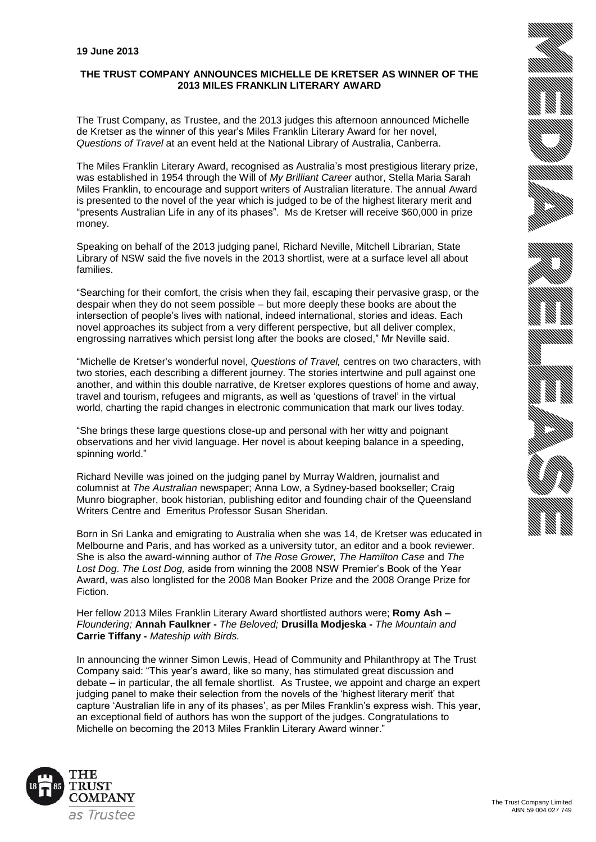# **THE TRUST COMPANY ANNOUNCES MICHELLE DE KRETSER AS WINNER OF THE 2013 MILES FRANKLIN LITERARY AWARD**

The Trust Company, as Trustee, and the 2013 judges this afternoon announced Michelle de Kretser as the winner of this year's Miles Franklin Literary Award for her novel, *Questions of Travel* at an event held at the National Library of Australia, Canberra.

The Miles Franklin Literary Award, recognised as Australia's most prestigious literary prize, was established in 1954 through the Will of *My Brilliant Career* author, Stella Maria Sarah Miles Franklin, to encourage and support writers of Australian literature. The annual Award is presented to the novel of the year which is judged to be of the highest literary merit and "presents Australian Life in any of its phases". Ms de Kretser will receive \$60,000 in prize money.

Speaking on behalf of the 2013 judging panel, Richard Neville, Mitchell Librarian, State Library of NSW said the five novels in the 2013 shortlist, were at a surface level all about families.

"Searching for their comfort, the crisis when they fail, escaping their pervasive grasp, or the despair when they do not seem possible – but more deeply these books are about the intersection of people's lives with national, indeed international, stories and ideas. Each novel approaches its subject from a very different perspective, but all deliver complex, engrossing narratives which persist long after the books are closed," Mr Neville said.

"Michelle de Kretser's wonderful novel, *Questions of Travel,* centres on two characters, with two stories, each describing a different journey. The stories intertwine and pull against one another, and within this double narrative, de Kretser explores questions of home and away, travel and tourism, refugees and migrants, as well as 'questions of travel' in the virtual world, charting the rapid changes in electronic communication that mark our lives today.

"She brings these large questions close-up and personal with her witty and poignant observations and her vivid language. Her novel is about keeping balance in a speeding, spinning world."

Richard Neville was joined on the judging panel by Murray Waldren, journalist and columnist at *The Australian* newspaper; Anna Low, a Sydney-based bookseller; Craig Munro biographer, book historian, publishing editor and founding chair of the Queensland Writers Centre and Emeritus Professor Susan Sheridan.

Born in Sri Lanka and emigrating to Australia when she was 14, de Kretser was educated in Melbourne and Paris, and has worked as a university tutor, an editor and a book reviewer. She is also the award-winning author of *The Rose Grower, The Hamilton Case* and *The Lost Dog*. *The Lost Dog,* aside from winning the 2008 NSW Premier's Book of the Year Award, was also longlisted for the 2008 Man Booker Prize and the 2008 Orange Prize for Fiction.

Her fellow 2013 Miles Franklin Literary Award shortlisted authors were; **Romy Ash –** *Floundering;* **Annah Faulkner -** *The Beloved;* **Drusilla Modjeska -** *The Mountain and*  **Carrie Tiffany -** *Mateship with Birds.*

In announcing the winner Simon Lewis, Head of Community and Philanthropy at The Trust Company said: "This year's award, like so many, has stimulated great discussion and debate – in particular, the all female shortlist. As Trustee, we appoint and charge an expert judging panel to make their selection from the novels of the 'highest literary merit' that capture 'Australian life in any of its phases', as per Miles Franklin's express wish. This year, an exceptional field of authors has won the support of the judges. Congratulations to Michelle on becoming the 2013 Miles Franklin Literary Award winner."